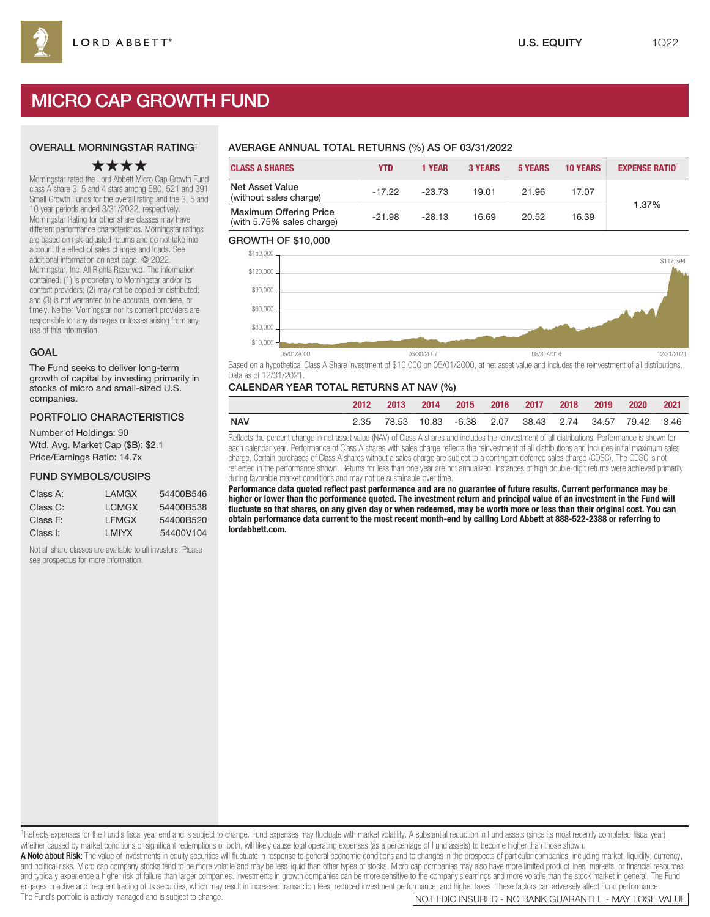# MICRO CAP GROWTH FUND

### OVERALL MORNINGSTAR RATING‡

# ★★★★

Morningstar rated the Lord Abbett Micro Cap Growth Fund class A share 3, 5 and 4 stars among 580, 521 and 391 Small Growth Funds for the overall rating and the 3, 5 and 10 year periods ended 3/31/2022, respectively. Morningstar Rating for other share classes may have different performance characteristics. Morningstar ratings are based on risk-adjusted returns and do not take into account the effect of sales charges and loads. See additional information on next page. © 2022 Morningstar, Inc. All Rights Reserved. The information contained: (1) is proprietary to Morningstar and/or its content providers; (2) may not be copied or distributed; and (3) is not warranted to be accurate, complete, or timely. Neither Morningstar nor its content providers are responsible for any damages or losses arising from any use of this information.

### GOAL

The Fund seeks to deliver long-term growth of capital by investing primarily in stocks of micro and small-sized U.S. companies.

### PORTFOLIO CHARACTERISTICS

Number of Holdings: 90 Wtd. Avg. Market Cap (\$B): \$2.1 Price/Earnings Ratio: 14.7x

### FUND SYMBOLS/CUSIPS

| Class A: | I AMGX | 54400B546 |
|----------|--------|-----------|
| Class C: | I CMGX | 54400B538 |
|          | I FMGX | 54400B520 |
| Class F: |        |           |
| Class I: | I MIYX | 54400V104 |

Not all share classes are available to all investors. Please see prospectus for more information.

# AVERAGE ANNUAL TOTAL RETURNS (%) AS OF 03/31/2022

| <b>CLASS A SHARES</b>                                      | <b>YTD</b> | 1 YEAR   | <b>3 YEARS</b> | <b>5 YEARS</b> | <b>10 YEARS</b> | <b>EXPENSE RATIO1</b> |
|------------------------------------------------------------|------------|----------|----------------|----------------|-----------------|-----------------------|
| Net Asset Value<br>(without sales charge)                  | $-17.22$   | $-23.73$ | 19.01          | 21.96          | 17.07           | 1.37%                 |
| <b>Maximum Offering Price</b><br>(with 5.75% sales charge) | $-21.98$   | $-28.13$ | 16.69          | 20.52          | 16.39           |                       |

### GROWTH OF \$10,000



Based on a hypothetical Class A Share investment of \$10,000 on 05/01/2000, at net asset value and includes the reinvestment of all distributions. Data as of 12/31/2021.

### CALENDAR YEAR TOTAL RETURNS AT NAV (%)

|     | 2012 | $-2013$ |  | 2014 2015 2016 2017 2018 2019 2020 2021                 |  |  |  |
|-----|------|---------|--|---------------------------------------------------------|--|--|--|
| NAV |      |         |  | 2.35 78.53 10.83 -6.38 2.07 38.43 2.74 34.57 79.42 3.46 |  |  |  |

Reflects the percent change in net asset value (NAV) of Class A shares and includes the reinvestment of all distributions. Performance is shown for each calendar year. Performance of Class A shares with sales charge reflects the reinvestment of all distributions and includes initial maximum sales charge. Certain purchases of Class A shares without a sales charge are subject to a contingent deferred sales charge (CDSC). The CDSC is not reflected in the performance shown. Returns for less than one year are not annualized. Instances of high double-digit returns were achieved primarily during favorable market conditions and may not be sustainable over time.

**Performance data quoted reflect past performance and are no guarantee of future results. Current performance may be higher or lower than the performance quoted. The investment return and principal value of an investment in the Fund will fluctuate so that shares, on any given day or when redeemed, may be worth more or less than their original cost. You can obtain performance data current to the most recent month-end by calling Lord Abbett at 888-522-2388 or referring to lordabbett.com.**

1Reflects expenses for the Fund's fiscal year end and is subject to change. Fund expenses may fluctuate with market volatility. A substantial reduction in Fund assets (since its most recently completed fiscal year), whether caused by market conditions or significant redemptions or both, will likely cause total operating expenses (as a percentage of Fund assets) to become higher than those shown. A Note about Risk: The value of investments in equity securities will fluctuate in response to general economic conditions and to changes in the prospects of particular companies, including market, liquidity, currency, and political risks. Micro cap company stocks tend to be more volatile and may be less liquid than other types of stocks. Micro cap companies may also have more limited product lines, markets, or financial resources and typically experience a higher risk of failure than larger companies. Investments in growth companies can be more sensitive to the company's earnings and more volatile than the stock market in general. The Fund